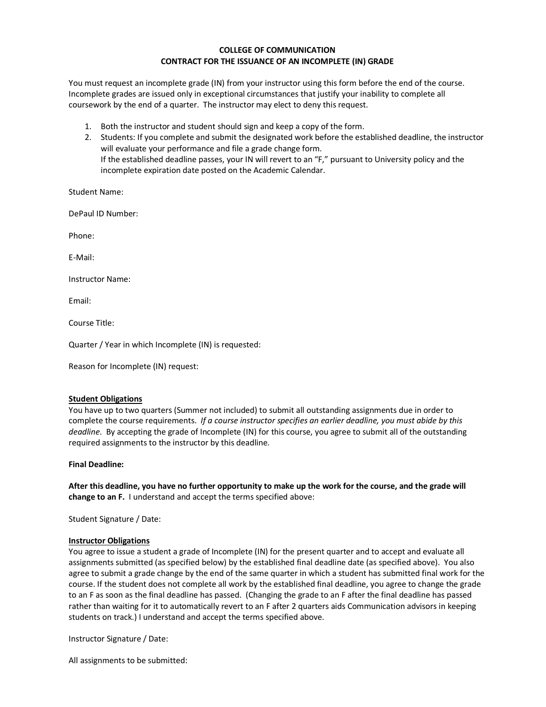## **COLLEGE OF COMMUNICATION CONTRACT FOR THE ISSUANCE OF AN INCOMPLETE (IN) GRADE**

You must request an incomplete grade (IN) from your instructor using this form before the end of the course. Incomplete grades are issued only in exceptional circumstances that justify your inability to complete all coursework by the end of a quarter. The instructor may elect to deny this request.

- 1. Both the instructor and student should sign and keep a copy of the form.
- 2. Students: If you complete and submit the designated work before the established deadline, the instructor will evaluate your performance and file a grade change form. If the established deadline passes, your IN will revert to an "F," pursuant to University policy and the incomplete expiration date posted on the Academic Calendar.

Student Name:

DePaul ID Number:

Phone:

E-Mail:

Instructor Name:

Email:

Course Title:

Quarter / Year in which Incomplete (IN) is requested:

Reason for Incomplete (IN) request:

### **Student Obligations**

You have up to two quarters (Summer not included) to submit all outstanding assignments due in order to complete the course requirements. *If a course instructor specifies an earlier deadline, you must abide by this deadline*. By accepting the grade of Incomplete (IN) for this course, you agree to submit all of the outstanding required assignments to the instructor by this deadline.

### **Final Deadline:**

**After this deadline, you have no further opportunity to make up the work for the course, and the grade will change to an F.** I understand and accept the terms specified above:

Student Signature / Date:

### **Instructor Obligations**

You agree to issue a student a grade of Incomplete (IN) for the present quarter and to accept and evaluate all assignments submitted (as specified below) by the established final deadline date (as specified above). You also agree to submit a grade change by the end of the same quarter in which a student has submitted final work for the course. If the student does not complete all work by the established final deadline, you agree to change the grade to an F as soon as the final deadline has passed. (Changing the grade to an F after the final deadline has passed rather than waiting for it to automatically revert to an F after 2 quarters aids Communication advisors in keeping students on track.) I understand and accept the terms specified above.

Instructor Signature / Date:

All assignments to be submitted: